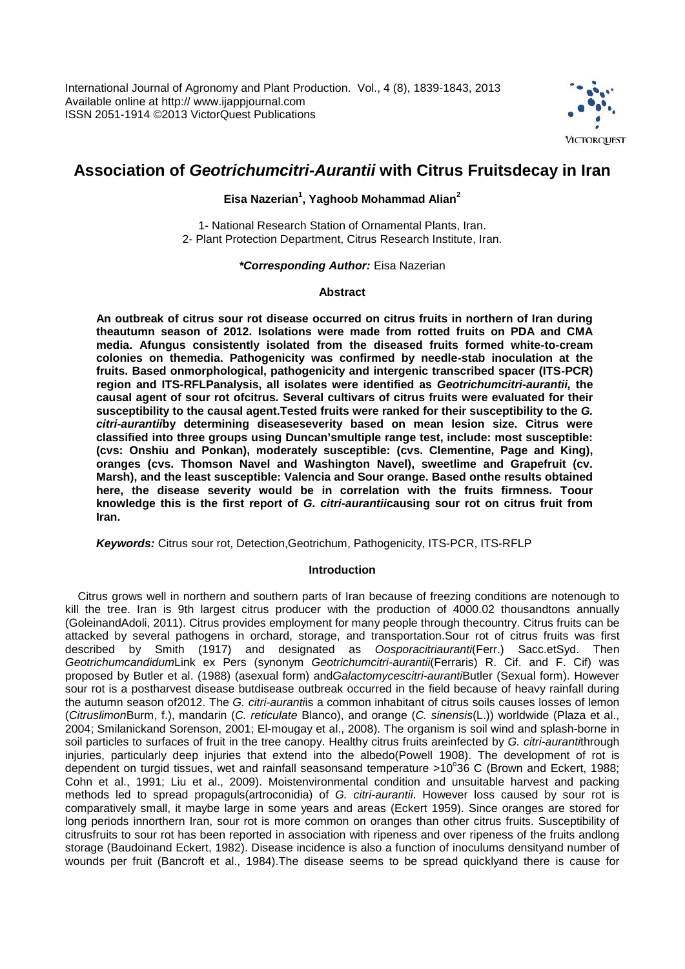

# **Association of** *Geotrichumcitri-Aurantii* **with Citrus Fruitsdecay in Iran**

## **Eisa Nazerian<sup>1</sup> , Yaghoob Mohammad Alian<sup>2</sup>**

1- National Research Station of Ornamental Plants, Iran. 2- Plant Protection Department, Citrus Research Institute, Iran.

*\*Corresponding Author:* Eisa Nazerian

## **Abstract**

**An outbreak of citrus sour rot disease occurred on citrus fruits in northern of Iran during theautumn season of 2012. Isolations were made from rotted fruits on PDA and CMA media. Afungus consistently isolated from the diseased fruits formed white-to-cream colonies on themedia. Pathogenicity was confirmed by needle-stab inoculation at the fruits. Based onmorphological, pathogenicity and intergenic transcribed spacer (ITS-PCR) region and ITS-RFLPanalysis, all isolates were identified as** *Geotrichumcitri-aurantii,* **the causal agent of sour rot ofcitrus***.* **Several cultivars of citrus fruits were evaluated for their susceptibility to the causal agent.Tested fruits were ranked for their susceptibility to the** *G. citri-aurantii***by determining diseaseseverity based on mean lesion size. Citrus were classified into three groups using Duncan'smultiple range test, include: most susceptible: (cvs: Onshiu and Ponkan), moderately susceptible: (cvs. Clementine, Page and King), oranges (cvs. Thomson Navel and Washington Navel), sweetlime and Grapefruit (cv. Marsh), and the least susceptible: Valencia and Sour orange. Based onthe results obtained here, the disease severity would be in correlation with the fruits firmness. Toour knowledge this is the first report of** *G. citri-aurantii***causing sour rot on citrus fruit from Iran.**

*Keywords:* Citrus sour rot, Detection,Geotrichum, Pathogenicity, ITS-PCR, ITS-RFLP

## **Introduction**

Citrus grows well in northern and southern parts of Iran because of freezing conditions are notenough to kill the tree. Iran is 9th largest citrus producer with the production of 4000.02 thousandtons annually (GoleinandAdoli, 2011). Citrus provides employment for many people through thecountry. Citrus fruits can be attacked by several pathogens in orchard, storage, and transportation. Sour rot of citrus fruits was first described by Smith (1917) and designated as *Oosporacitriauranti*(Ferr.) Sacc. et Syd. Then described by Smith (1917) and designated as *Geotrichumcandidum*Link ex Pers (synonym *Geotrichumcitri-aurantii*(Ferraris) R. Cif. and F. Cif) was proposed by Butler et al. (1988) (asexual form) and*Galactomycescitri-auranti*Butler (Sexual form). However sour rot is a postharvest disease butdisease outbreak occurred in the field because of heavy rainfall during the autumn season of2012. The *G. citri-auranti*is a common inhabitant of citrus soils causes losses of lemon (*Citruslimon*Burm, f.), mandarin (*C. reticulate* Blanco), and orange (*C. sinensis*(L.)) worldwide (Plaza et al., 2004; Smilanickand Sorenson, 2001; El-mougay et al., 2008). The organism is soil wind and splash-borne in soil particles to surfaces of fruit in the tree canopy. Healthy citrus fruits areinfected by *G. citri-auranti*through injuries, particularly deep injuries that extend into the albedo(Powell 1908). The development of rot is dependent on turgid tissues, wet and rainfall seasonsand temperature  $>10^{\circ}36$  C (Brown and Eckert, 1988; Cohn et al., 1991; Liu et al., 2009). Moistenvironmental condition and unsuitable harvest and packing methods led to spread propaguls(artroconidia) of *G. citri-aurantii*. However loss caused by sour rot is comparatively small, it maybe large in some years and areas (Eckert 1959). Since oranges are stored for long periods innorthern Iran, sour rot is more common on oranges than other citrus fruits. Susceptibility of citrusfruits to sour rot has been reported in association with ripeness and over ripeness of the fruits andlong storage (Baudoinand Eckert, 1982). Disease incidence is also a function of inoculums densityand number of wounds per fruit (Bancroft et al., 1984).The disease seems to be spread quicklyand there is cause for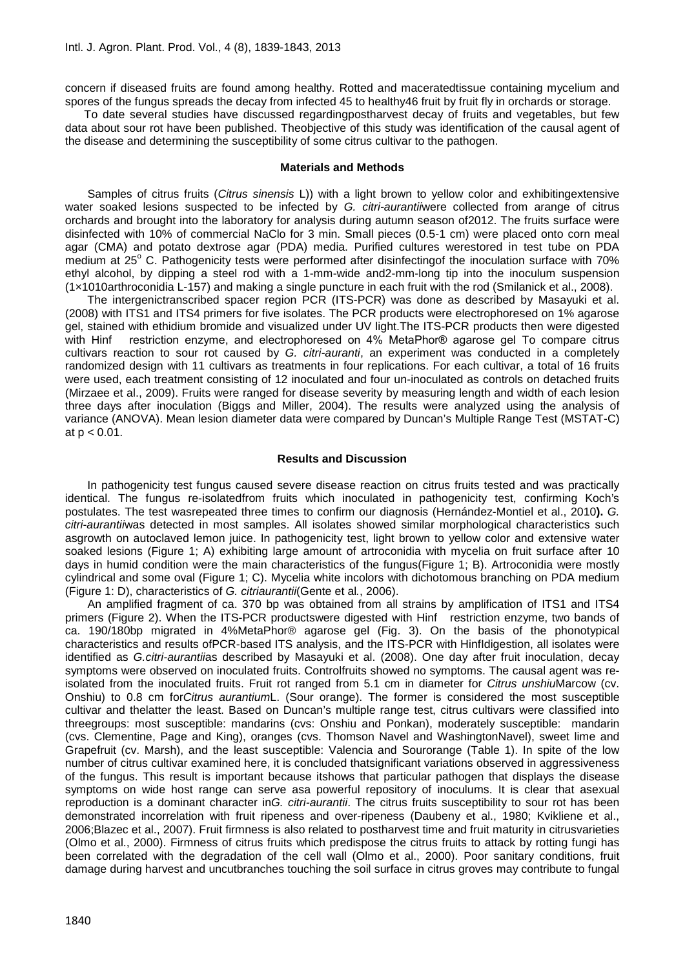concern if diseased fruits are found among healthy. Rotted and maceratedtissue containing mycelium and spores of the fungus spreads the decay from infected 45 to healthy46 fruit by fruit fly in orchards or storage.

To date several studies have discussed regardingpostharvest decay of fruits and vegetables, but few data about sour rot have been published. Theobjective of this study was identification of the causal agent of the disease and determining the susceptibility of some citrus cultivar to the pathogen.

#### **Materials and Methods**

Samples of citrus fruits (*Citrus sinensis* L)) with a light brown to yellow color and exhibitingextensive water soaked lesions suspected to be infected by *G. citri-aurantii*were collected from arange of citrus orchards and brought into the laboratory for analysis during autumn season of2012. The fruits surface were disinfected with 10% of commercial NaClo for 3 min. Small pieces (0.5-1 cm) were placed onto corn meal agar (CMA) and potato dextrose agar (PDA) media. Purified cultures werestored in test tube on PDA medium at 25° C. Pathogenicity tests were performed after disinfectingof the inoculation surface with 70% ethyl alcohol, by dipping a steel rod with a 1-mm-wide and2-mm-long tip into the inoculum suspension (1×1010arthroconidia L-157) and making a single puncture in each fruit with the rod (Smilanick et al., 2008).

The intergenictranscribed spacer region PCR (ITS-PCR) was done as described by Masayuki et al. (2008) with ITS1 and ITS4 primers for five isolates. The PCR products were electrophoresed on 1% agarose gel, stained with ethidium bromide and visualized under UV light.The ITS-PCR products then were digested with Hinf restriction enzyme, and electrophoresed on 4% MetaPhor® agarose gel. To compare citrus cultivars reaction to sour rot caused by *G. citri-auranti*, an experiment was conducted in a completely randomized design with 11 cultivars as treatments in four replications. For each cultivar, a total of 16 fruits were used, each treatment consisting of 12 inoculated and four un-inoculated as controls on detached fruits (Mirzaee et al., 2009). Fruits were ranged for disease severity by measuring length and width of each lesion three days after inoculation (Biggs and Miller, 2004). The results were analyzed using the analysis of variance (ANOVA). Mean lesion diameter data were compared by Duncan's Multiple Range Test (MSTAT-C) at  $p < 0.01$ .

#### **Results and Discussion**

In pathogenicity test fungus caused severe disease reaction on citrus fruits tested and was practically identical. The fungus re-isolatedfrom fruits which inoculated in pathogenicity test, confirming Koch's postulates. The test wasrepeated three times to confirm our diagnosis (Hernández-Montiel et al., 2010**).** *G. citri-aurantii*was detected in most samples. All isolates showed similar morphological characteristics such asgrowth on autoclaved lemon juice. In pathogenicity test, light brown to yellow color and extensive water soaked lesions (Figure 1; A) exhibiting large amount of artroconidia with mycelia on fruit surface after 10 days in humid condition were the main characteristics of the fungus(Figure 1; B). Artroconidia were mostly cylindrical and some oval (Figure 1; C). Mycelia white incolors with dichotomous branching on PDA medium (Figure 1: D), characteristics of *G. citriaurantii*(Gente et al*.*, 2006).

An amplified fragment of ca. 370 bp was obtained from all strains by amplification of ITS1 and ITS4 primers (Figure 2). When the ITS-PCR productswere digested with Hinf restriction enzyme, two bands of ca. 190/180bp migrated in 4%MetaPhor® agarose gel (Fig. 3). On the basis of the phonotypical characteristics and results ofPCR-based ITS analysis, and the ITS-PCR with HinfIdigestion, all isolates were identified as *G.citri-aurantii*as described by Masayuki et al. (2008). One day after fruit inoculation, decay symptoms were observed on inoculated fruits. Controlfruits showed no symptoms. The causal agent was reisolated from the inoculated fruits. Fruit rot ranged from 5.1 cm in diameter for *Citrus unshiu*Marcow (cv. Onshiu) to 0.8 cm for*Citrus aurantium*L. (Sour orange). The former is considered the most susceptible cultivar and thelatter the least. Based on Duncan's multiple range test, citrus cultivars were classified into threegroups: most susceptible: mandarins (cvs: Onshiu and Ponkan), moderately susceptible: mandarin (cvs. Clementine, Page and King), oranges (cvs. Thomson Navel and WashingtonNavel), sweet lime and Grapefruit (cv. Marsh), and the least susceptible: Valencia and Sourorange (Table 1). In spite of the low number of citrus cultivar examined here, it is concluded thatsignificant variations observed in aggressiveness of the fungus. This result is important because itshows that particular pathogen that displays the disease symptoms on wide host range can serve asa powerful repository of inoculums. It is clear that asexual reproduction is a dominant character in*G. citri-aurantii*. The citrus fruits susceptibility to sour rot has been demonstrated incorrelation with fruit ripeness and over-ripeness (Daubeny et al., 1980; Kvikliene et al., 2006;Blazec et al., 2007). Fruit firmness is also related to postharvest time and fruit maturity in citrusvarieties (Olmo et al., 2000). Firmness of citrus fruits which predispose the citrus fruits to attack by rotting fungi has been correlated with the degradation of the cell wall (Olmo et al., 2000). Poor sanitary conditions, fruit damage during harvest and uncutbranches touching the soil surface in citrus groves may contribute to fungal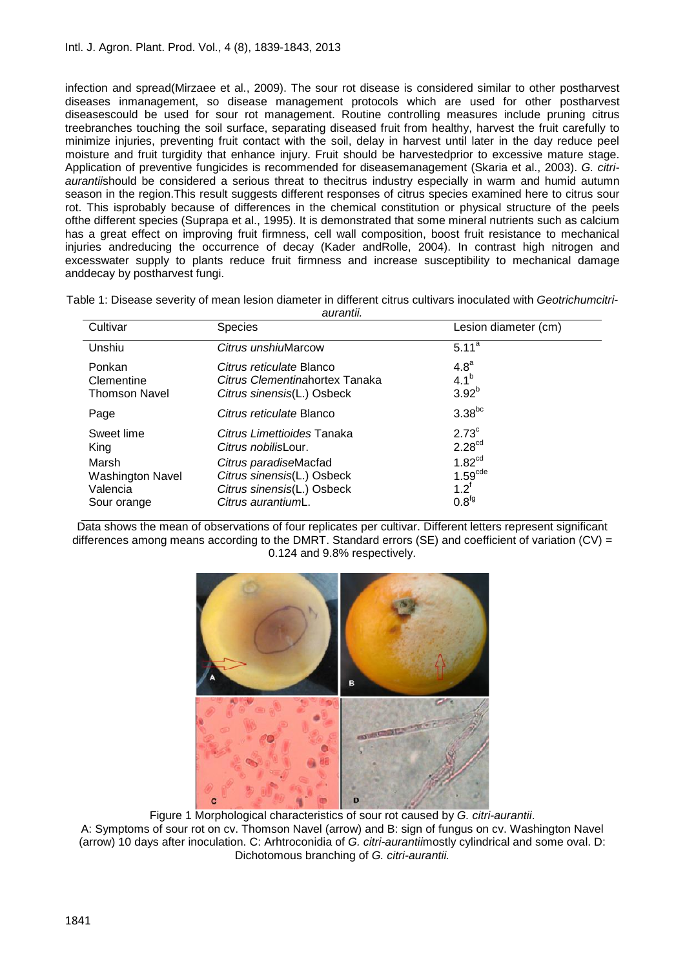infection and spread(Mirzaee et al., 2009). The sour rot disease is considered similar to other postharvest diseases inmanagement, so disease management protocols which are used for other postharvest diseasescould be used for sour rot management. Routine controlling measures include pruning citrus treebranches touching the soil surface, separating diseased fruit from healthy, harvest the fruit carefully to minimize injuries, preventing fruit contact with the soil, delay in harvest until later in the day reduce peel moisture and fruit turgidity that enhance injury. Fruit should be harvestedprior to excessive mature stage. Application of preventive fungicides is recommended for diseasemanagement (Skaria et al., 2003). *G. citri aurantii*should be considered a serious threat to thecitrus industry especially in warm and humid autumn season in the region.This result suggests different responses of citrus species examined here to citrus sour rot. This isprobably because of differences in the chemical constitution or physical structure of the peels ofthe different species (Suprapa et al., 1995). It is demonstrated that some mineral nutrients such as calcium has a great effect on improving fruit firmness, cell wall composition, boost fruit resistance to mechanical injuries andreducing the occurrence of decay (Kader andRolle, 2004). In contrast high nitrogen and excesswater supply to plants reduce fruit firmness and increase susceptibility to mechanical damage anddecay by postharvest fungi.

| Table 1: Disease severity of mean lesion diameter in different citrus cultivars inoculated with Geotrichumcitri- |  |
|------------------------------------------------------------------------------------------------------------------|--|
| $\alpha$ urontii                                                                                                 |  |

| <b>Species</b>                                                                                                                         | Lesion diameter (cm)                                                                                               |
|----------------------------------------------------------------------------------------------------------------------------------------|--------------------------------------------------------------------------------------------------------------------|
| Citrus unshiuMarcow                                                                                                                    | $5.11^{a}$                                                                                                         |
| Citrus reticulate Blanco<br>Citrus Clementinahortex Tanaka<br>Citrus sinensis(L.) Osbeck                                               | 4.8 <sup>a</sup><br>$4.1^{b}$<br>$3.92^{b}$                                                                        |
| Citrus reticulate Blanco                                                                                                               | $3.38^{bc}$                                                                                                        |
| Citrus Limettioides Tanaka<br>Citrus nobilisLour.<br>Citrus paradiseMacfad<br>Citrus sinensis(L.) Osbeck<br>Citrus sinensis(L.) Osbeck | $2.73^{\circ}$<br>2.28 <sup>cd</sup><br>1.82 <sup>cd</sup><br>1.59 <sup>cde</sup><br>$1.2^{\dagger}$<br>$0.8^{fg}$ |
|                                                                                                                                        | Citrus aurantiumL.                                                                                                 |

Data shows the mean of observations of four replicates per cultivar. Different letters represent significant differences among means according to the DMRT. Standard errors (SE) and coefficient of variation (CV) = 0.124 and 9.8% respectively.



Figure 1 Morphological characteristics of sour rot caused by *G. citri-aurantii*. A: Symptoms of sour rot on cv. Thomson Navel (arrow) and B: sign of fungus on cv. Washington Navel (arrow) 10 days after inoculation. C: Arhtroconidia of *G. citri-aurantii*mostly cylindrical and some oval. D: Dichotomous branching of *G. citri-aurantii.*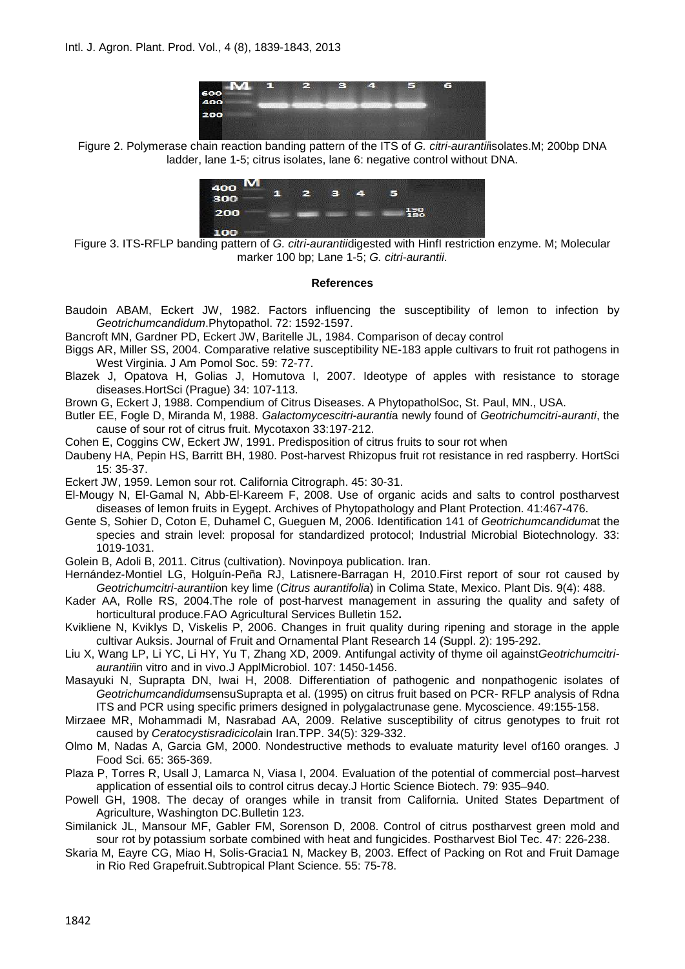

Figure 2. Polymerase chain reaction banding pattern of the ITS of *G. citri-aurantii*isolates.M; 200bp DNA ladder, lane 1-5; citrus isolates, lane 6: negative control without DNA.



Figure 3. ITS-RFLP banding pattern of *G. citri-aurantii*digested with HinfI restriction enzyme. M; Molecular marker 100 bp; Lane 1-5; *G. citri-aurantii*.

### **References**

- Baudoin ABAM, Eckert JW, 1982. Factors influencing the susceptibility of lemon to infection by *Geotrichumcandidum*.Phytopathol. 72: 1592-1597.
- Bancroft MN, Gardner PD, Eckert JW, Baritelle JL, 1984. Comparison of decay control
- Biggs AR, Miller SS, 2004. Comparative relative susceptibility NE-183 apple cultivars to fruit rot pathogens in West Virginia. J Am Pomol Soc. 59: 72-77.
- Blazek J, Opatova H, Golias J, Homutova I, 2007. Ideotype of apples with resistance to storage diseases.HortSci (Prague) 34: 107-113.
- Brown G, Eckert J, 1988. Compendium of Citrus Diseases. A PhytopatholSoc, St. Paul, MN., USA.
- Butler EE, Fogle D, Miranda M, 1988. *Galactomycescitri-auranti*a newly found of *Geotrichumcitri-auranti*, the cause of sour rot of citrus fruit. Mycotaxon 33:197-212.
- Cohen E, Coggins CW, Eckert JW, 1991. Predisposition of citrus fruits to sour rot when
- Daubeny HA, Pepin HS, Barritt BH, 1980. Post-harvest Rhizopus fruit rot resistance in red raspberry. HortSci 15: 35-37.

Eckert JW, 1959. Lemon sour rot. California Citrograph. 45: 30-31.

- El-Mougy N, El-Gamal N, Abb-El-Kareem F, 2008. Use of organic acids and salts to control postharvest diseases of lemon fruits in Eygept. Archives of Phytopathology and Plant Protection. 41:467-476.
- Gente S, Sohier D, Coton E, Duhamel C, Gueguen M, 2006. Identification 141 of *Geotrichumcandidum*at the species and strain level: proposal for standardized protocol; Industrial Microbial Biotechnology. 33: 1019-1031.
- Golein B, Adoli B, 2011. Citrus (cultivation). Novinpoya publication. Iran.
- Hernández-Montiel LG, Holguín-Peña RJ, Latisnere-Barragan H, 2010.First report of sour rot caused by *Geotrichumcitri-aurantii*on key lime (*Citrus aurantifolia*) in Colima State, Mexico. Plant Dis. 9(4): 488.
- Kader AA, Rolle RS, 2004.The role of post-harvest management in assuring the quality and safety of horticultural produce.FAO Agricultural Services Bulletin 152**.**
- Kvikliene N, Kviklys D, Viskelis P, 2006. Changes in fruit quality during ripening and storage in the apple cultivar Auksis. Journal of Fruit and Ornamental Plant Research 14 (Suppl. 2): 195-292.
- Liu X, Wang LP, Li YC, Li HY, Yu T, Zhang XD, 2009. Antifungal activity of thyme oil against*Geotrichumcitri aurantii*in vitro and in vivo.J ApplMicrobiol. 107: 1450-1456.
- Masayuki N, Suprapta DN, Iwai H, 2008. Differentiation of pathogenic and nonpathogenic isolates of *Geotrichumcandidum*sensuSuprapta et al. (1995) on citrus fruit based on PCR- RFLP analysis of Rdna ITS and PCR using specific primers designed in polygalactrunase gene. Mycoscience. 49:155-158.
- Mirzaee MR, Mohammadi M, Nasrabad AA, 2009. Relative susceptibility of citrus genotypes to fruit rot caused by *Ceratocystisradicicola*in Iran.TPP. 34(5): 329-332.
- Olmo M, Nadas A, Garcia GM, 2000. Nondestructive methods to evaluate maturity level of160 oranges*.* J Food Sci. 65: 365-369.
- Plaza P, Torres R, Usall J, Lamarca N, Viasa I, 2004. Evaluation of the potential of commercial post–harvest application of essential oils to control citrus decay.J Hortic Science Biotech. 79: 935–940.
- Powell GH, 1908. The decay of oranges while in transit from California. United States Department of Agriculture, Washington DC.Bulletin 123.
- Similanick JL, Mansour MF, Gabler FM, Sorenson D, 2008. Control of citrus postharvest green mold and sour rot by potassium sorbate combined with heat and fungicides. Postharvest Biol Tec. 47: 226-238.
- Skaria M, Eayre CG, Miao H, Solis-Gracia1 N, Mackey B, 2003. Effect of Packing on Rot and Fruit Damage in Rio Red Grapefruit.Subtropical Plant Science. 55: 75-78.